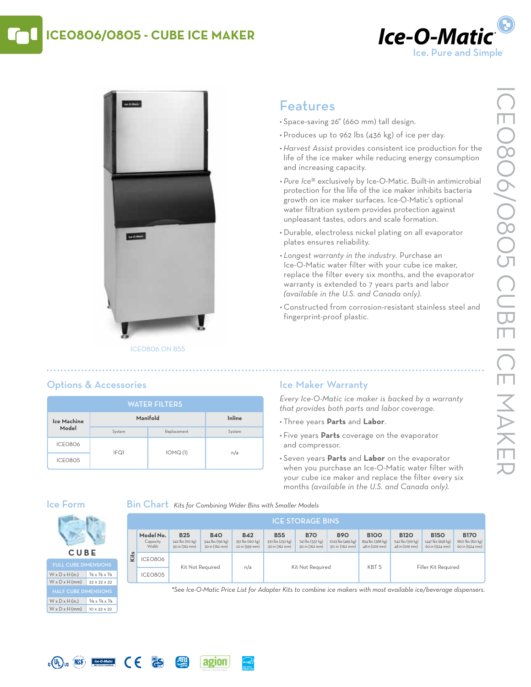# **ICE0806/0805 - Cube Ice Maker**





#### ICE0806 on B55

 $I = \bigcap_{n \geq 1}$   $I \cap M \cap (1)$   $I = \bigcap_{n \geq 1}$ 

# Features

- • Space-saving 26" (660 mm) tall design.
- • Produces up to 962 lbs (436 kg) of ice per day.
- *• Harvest Assist* provides consistent ice production for the life of the ice maker while reducing energy consumption and increasing capacity.
- *• Pure Ice*® exclusively by Ice-O-Matic. Built-in antimicrobial protection for the life of the ice maker inhibits bacteria growth on ice maker surfaces. Ice-O-Matic's optional water filtration system provides protection against unpleasant tastes, odors and scale formation.
- • Durable, electroless nickel plating on all evaporator plates ensures reliability.
- *• Longest warranty in the industry.* Purchase an Ice-O-Matic water filter with your cube ice maker, replace the filter every six months, and the evaporator warranty is extended to 7 years parts and labor *(available in the U.S. and Canada only)*.
- • Constructed from corrosion-resistant stainless steel and fingerprint-proof plastic.

#### **Ice Machine Model Manifold Inline** System Replacement System ICE0806 water filters

 $\epsilon$ 

**PS** 

Options & Accessories

## Ice Maker Warranty

*Every Ice-O-Matic ice maker is backed by a warranty that provides both parts and labor coverage.*

- • Three years **Parts** and **Labor**.
- • Five years **Parts** coverage on the evaporator and compressor.
- • Seven years **Parts** and **Labor** on the evaporator when you purchase an Ice-O-Matic water filter with your cube ice maker and replace the filter every six months *(available in the U.S. and Canada only).*

### Ice Form

**C UB E** Full Cube Dimensions  $W \times D \times H$  (in.) 7/8 x 7/8 x 7/8 W x D x H (mm) 22 x 22 x 22

W x D x H (in.)  $3/8 \times 7/8 \times 7/8$  $W \times D \times H$  (mm) 10 x 22 x 22

 $\mathbf{L}(\mathbf{U}_k)$  us  $(\mathbf{MSE})$  Re-O-Matic

ICE0805

Bin Chart *Kits for Combining Wider Bins with Smaller Models*

agion

|      | <b>ICE STORAGE BINS</b>        |                                                  |                                                  |                                                  |                                                  |                                                  |                                                   |                                                    |                                                     |                                                     |                                                     |  |
|------|--------------------------------|--------------------------------------------------|--------------------------------------------------|--------------------------------------------------|--------------------------------------------------|--------------------------------------------------|---------------------------------------------------|----------------------------------------------------|-----------------------------------------------------|-----------------------------------------------------|-----------------------------------------------------|--|
|      | Model No.<br>Capacity<br>Width | <b>B25</b><br>242 lbs (110 kg)<br>30 in (762 mm) | <b>B40</b><br>344 lbs (156 kg)<br>30 in (762 mm) | <b>B42</b><br>351 lbs (160 kg)<br>22 in (559 mm) | <b>B55</b><br>510 lbs (232 kg)<br>30 in (762 mm) | <b>B70</b><br>741 lbs (337 kg)<br>30 in (762 mm) | <b>B90</b><br>1023 lbs (465 kg)<br>30 in (762 mm) | <b>B100</b><br>854 lbs (388 kg)<br>48 in (1219 mm) | <b>B120</b><br>1142 lbs (519 kg)<br>48 in (1219 mm) | <b>B150</b><br>1447 lbs (658 kg)<br>60 in (1524 mm) | <b>B170</b><br>1807 lbs (821 kg)<br>60 in (1524 mm) |  |
| Kits | ICEO8O6                        | Kit Not Required                                 |                                                  | n/a                                              | Kit Not Required                                 |                                                  |                                                   | KBT <sub>5</sub>                                   | Filler Kit Required                                 |                                                     |                                                     |  |
|      | ICEO8O5                        |                                                  |                                                  |                                                  |                                                  |                                                  |                                                   |                                                    |                                                     |                                                     |                                                     |  |

*\*See Ice-O-Matic Price List for Adapter Kits to combine ice makers with most available ice/beverage dispensers.*